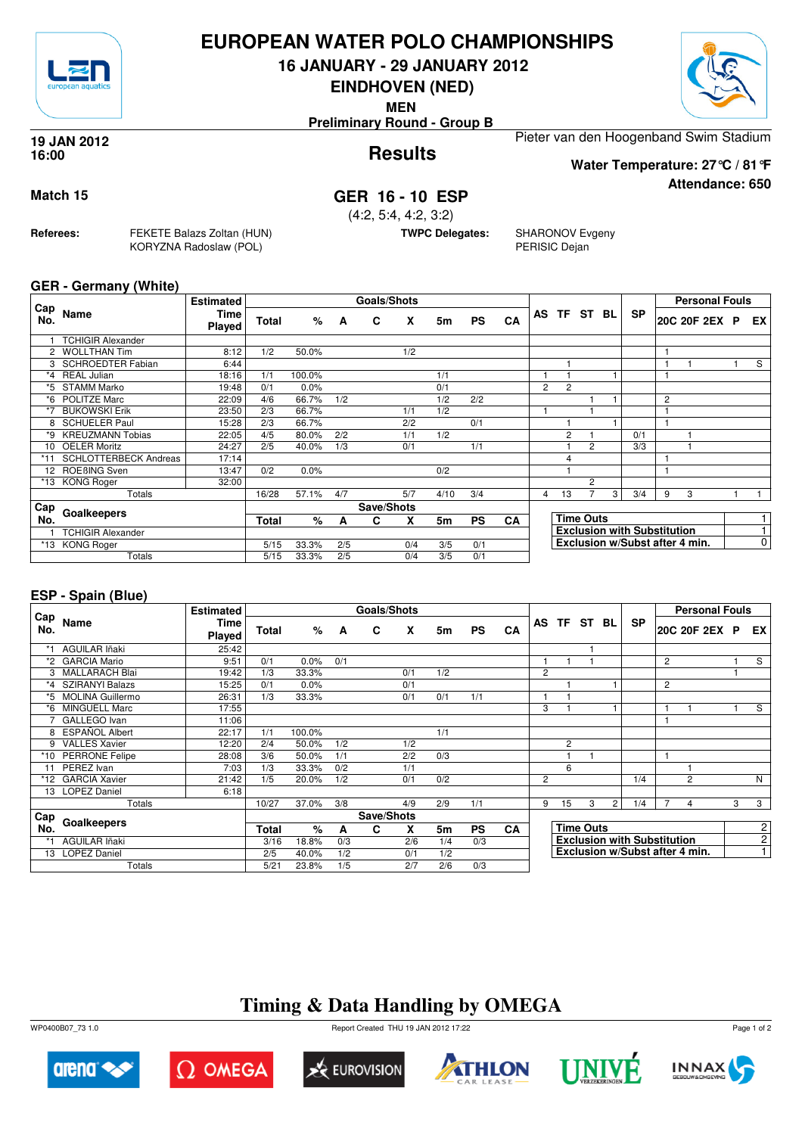

## **EUROPEAN WATER POLO CHAMPIONSHIPS**

**16 JANUARY - 29 JANUARY 2012**

**EINDHOVEN (NED)**

**MEN**

**Preliminary Round - Group B**

### **Results 19 JAN 2012 16:00**

Pieter van den Hoogenband Swim Stadium

**Water Temperature: 27°C / 81°F**

**Attendance: 650**

## **Match 15 GER 16 - 10 ESP**

(4:2, 5:4, 4:2, 3:2)

**TWPC Delegates:** SHARONOV Evgeny PERISIC Dejan

## **GER - Germany (White)**

**Referees:** FEKETE Balazs Zoltan (HUN)

KORYZNA Radoslaw (POL)

| Cap             |                              | <b>Estimated</b> |              |        |     | <b>Goals/Shots</b> |     |      |           |    |                |                |                  |   |                                    |   | <b>Personal Fouls</b>          |                |
|-----------------|------------------------------|------------------|--------------|--------|-----|--------------------|-----|------|-----------|----|----------------|----------------|------------------|---|------------------------------------|---|--------------------------------|----------------|
| No.             | Name                         | Time<br>Played   | <b>Total</b> | %      | A   | C                  | X   | 5m   | <b>PS</b> | CA | <b>AS</b>      |                | TF ST BL         |   | <b>SP</b>                          |   | 20C 20F 2EX P                  | EX             |
|                 | <b>TCHIGIR Alexander</b>     |                  |              |        |     |                    |     |      |           |    |                |                |                  |   |                                    |   |                                |                |
|                 | <b>WOLLTHAN Tim</b>          | 8:12             | 1/2          | 50.0%  |     |                    | 1/2 |      |           |    |                |                |                  |   |                                    |   |                                |                |
|                 | <b>SCHROEDTER Fabian</b>     | 6:44             |              |        |     |                    |     |      |           |    |                |                |                  |   |                                    |   |                                | S              |
| *4              | <b>REAL Julian</b>           | 18:16            | 1/1          | 100.0% |     |                    |     | 1/1  |           |    |                |                |                  |   |                                    |   |                                |                |
| *5.             | <b>STAMM Marko</b>           | 19:48            | 0/1          | 0.0%   |     |                    |     | 0/1  |           |    | $\overline{2}$ | $\overline{2}$ |                  |   |                                    |   |                                |                |
|                 | *6 POLITZE Marc              | 22:09            | 4/6          | 66.7%  | 1/2 |                    |     | 1/2  | 2/2       |    |                |                |                  |   |                                    | 2 |                                |                |
|                 | <b>BUKOWSKI Erik</b>         | 23:50            | 2/3          | 66.7%  |     |                    | 1/1 | 1/2  |           |    |                |                |                  |   |                                    |   |                                |                |
| 8               | <b>SCHUELER Paul</b>         | 15:28            | 2/3          | 66.7%  |     |                    | 2/2 |      | 0/1       |    |                |                |                  |   |                                    |   |                                |                |
| *9              | <b>KREUZMANN Tobias</b>      | 22:05            | 4/5          | 80.0%  | 2/2 |                    | 1/1 | 1/2  |           |    |                | 2              |                  |   | 0/1                                |   |                                |                |
| 10              | <b>OELER Moritz</b>          | 24:27            | 2/5          | 40.0%  | 1/3 |                    | 0/1 |      | 1/1       |    |                |                | 2                |   | 3/3                                |   |                                |                |
| *11             | <b>SCHLOTTERBECK Andreas</b> | 17:14            |              |        |     |                    |     |      |           |    |                | 4              |                  |   |                                    |   |                                |                |
| 12 <sup>2</sup> | ROEBING Sven                 | 13:47            | 0/2          | 0.0%   |     |                    |     | 0/2  |           |    |                |                |                  |   |                                    |   |                                |                |
|                 | *13 KONG Roger               | 32:00            |              |        |     |                    |     |      |           |    |                |                | $\overline{2}$   |   |                                    |   |                                |                |
|                 | Totals                       |                  | 16/28        | 57.1%  | 4/7 |                    | 5/7 | 4/10 | 3/4       |    | 4              | 13             |                  | 3 | 3/4                                | 9 | 3                              |                |
| Cap             |                              |                  |              |        |     | Save/Shots         |     |      |           |    |                |                |                  |   |                                    |   |                                |                |
| No.             | Goalkeepers                  |                  | <b>Total</b> | %      | A   | C                  | X   | 5m   | <b>PS</b> | CA |                |                | <b>Time Outs</b> |   |                                    |   |                                |                |
|                 | <b>TCHIGIR Alexander</b>     |                  |              |        |     |                    |     |      |           |    |                |                |                  |   | <b>Exclusion with Substitution</b> |   |                                |                |
|                 | *13 KONG Roger               |                  | 5/15         | 33.3%  | 2/5 |                    | 0/4 | 3/5  | 0/1       |    |                |                |                  |   |                                    |   | Exclusion w/Subst after 4 min. | $\overline{0}$ |
|                 | Totals                       |                  | 5/15         | 33.3%  | 2/5 |                    | 0/4 | 3/5  | 0/1       |    |                |                |                  |   |                                    |   |                                |                |

## **ESP - Spain (Blue)**

|            |                       | <b>Estimated</b> |              |        |     | Goals/Shots |     |     |           |           |                |                |                  |                |                                    |                | <b>Personal Fouls</b>          |   |                |
|------------|-----------------------|------------------|--------------|--------|-----|-------------|-----|-----|-----------|-----------|----------------|----------------|------------------|----------------|------------------------------------|----------------|--------------------------------|---|----------------|
| Cap<br>No. | Name                  | Time<br>Played   | <b>Total</b> | %      | A   | C           | X   | 5m  | <b>PS</b> | CA        |                |                | AS TF ST BL      |                | <b>SP</b>                          |                | 20C 20F 2EX P                  |   | EX I           |
|            | AGUILAR Iñaki         | 25:42            |              |        |     |             |     |     |           |           |                |                |                  |                |                                    |                |                                |   |                |
| *2         | <b>GARCIA Mario</b>   | 9:51             | 0/1          | 0.0%   | 0/1 |             |     |     |           |           |                |                |                  |                |                                    | $\overline{2}$ |                                |   | S              |
|            | 3 MALLARACH Blai      | 19:42            | 1/3          | 33.3%  |     |             | 0/1 | 1/2 |           |           | 2              |                |                  |                |                                    |                |                                |   |                |
|            | *4 SZIRANYI Balazs    | 15:25            | 0/1          | 0.0%   |     |             | 0/1 |     |           |           |                |                |                  |                |                                    | 2              |                                |   |                |
|            | *5 MOLINA Guillermo   | 26:31            | 1/3          | 33.3%  |     |             | 0/1 | 0/1 | 1/1       |           |                |                |                  |                |                                    |                |                                |   |                |
| *6         | <b>MINGUELL Marc</b>  | 17:55            |              |        |     |             |     |     |           |           | 3              |                |                  |                |                                    |                |                                |   | S              |
|            | GALLEGO Ivan          | 11:06            |              |        |     |             |     |     |           |           |                |                |                  |                |                                    | 1              |                                |   |                |
| 8          | <b>ESPAÑOL Albert</b> | 22:17            | 1/1          | 100.0% |     |             |     | 1/1 |           |           |                |                |                  |                |                                    |                |                                |   |                |
|            | 9 VALLES Xavier       | 12:20            | 2/4          | 50.0%  | 1/2 |             | 1/2 |     |           |           |                | $\overline{c}$ |                  |                |                                    |                |                                |   |                |
|            | *10 PERRONE Felipe    | 28:08            | 3/6          | 50.0%  | 1/1 |             | 2/2 | 0/3 |           |           |                |                |                  |                |                                    | 1              |                                |   |                |
| 11         | PEREZ Ivan            | 7:03             | 1/3          | 33.3%  | 0/2 |             | 1/1 |     |           |           |                | 6              |                  |                |                                    |                |                                |   |                |
| *12        | <b>GARCIA Xavier</b>  | 21:42            | 1/5          | 20.0%  | 1/2 |             | 0/1 | 0/2 |           |           | $\overline{2}$ |                |                  |                | 1/4                                |                | 2                              |   | N              |
|            | 13 LOPEZ Daniel       | 6:18             |              |        |     |             |     |     |           |           |                |                |                  |                |                                    |                |                                |   |                |
|            | Totals                |                  | 10/27        | 37.0%  | 3/8 |             | 4/9 | 2/9 | 1/1       |           | 9              | 15             | 3                | $\overline{2}$ | 1/4                                |                | 4                              | 3 | 3              |
| Cap        |                       |                  |              |        |     | Save/Shots  |     |     |           |           |                |                |                  |                |                                    |                |                                |   |                |
| No.        | Goalkeepers           |                  | Total        | $\%$   | A   | C           | X   | 5m  | <b>PS</b> | <b>CA</b> |                |                | <b>Time Outs</b> |                |                                    |                |                                |   | $\mathbf{2}$   |
|            | AGUILAR Iñaki         |                  | 3/16         | 18.8%  | 0/3 |             | 2/6 | 1/4 | 0/3       |           |                |                |                  |                | <b>Exclusion with Substitution</b> |                |                                |   | $\mathbf{2}$   |
|            | 13 LOPEZ Daniel       |                  | 2/5          | 40.0%  | 1/2 |             | 0/1 | 1/2 |           |           |                |                |                  |                |                                    |                | Exclusion w/Subst after 4 min. |   | 1 <sup>1</sup> |
|            | Totals                |                  | 5/21         | 23.8%  | 1/5 |             | 2/7 | 2/6 | 0/3       |           |                |                |                  |                |                                    |                |                                |   |                |

# **Timing & Data Handling by OMEGA**

WP0400B07\_73 1.0 Report Created THU 19 JAN 2012 17:22